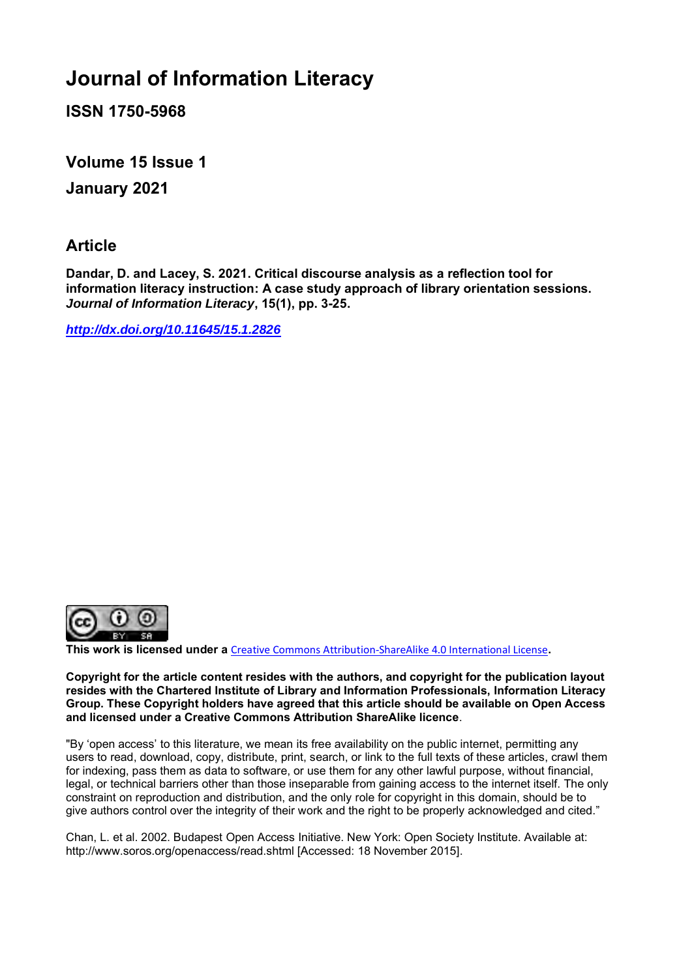# **Journal of Information Literacy**

**ISSN 1750-5968**

**Volume 15 Issue 1 January 2021**

## **Article**

**Dandar, D. and Lacey, S. 2021. Critical discourse analysis as a reflection tool for information literacy instruction: A case study approach of library orientation sessions.** *Journal of Information Literacy***, 15(1), pp. 3-25.**

*<http://dx.doi.org/10.11645/15.1.2826>*



**This work is licensed under a** [Creative Commons Attribution-ShareAlike 4.0 International License](http://creativecommons.org/licenses/by-sa/4.0/)**.**

**Copyright for the article content resides with the authors, and copyright for the publication layout resides with the Chartered Institute of Library and Information Professionals, Information Literacy Group. These Copyright holders have agreed that this article should be available on Open Access and licensed under a Creative Commons Attribution ShareAlike licence**.

"By 'open access' to this literature, we mean its free availability on the public internet, permitting any users to read, download, copy, distribute, print, search, or link to the full texts of these articles, crawl them for indexing, pass them as data to software, or use them for any other lawful purpose, without financial, legal, or technical barriers other than those inseparable from gaining access to the internet itself. The only constraint on reproduction and distribution, and the only role for copyright in this domain, should be to give authors control over the integrity of their work and the right to be properly acknowledged and cited."

Chan, L. et al. 2002. Budapest Open Access Initiative. New York: Open Society Institute. Available at: http://www.soros.org/openaccess/read.shtml [Accessed: 18 November 2015].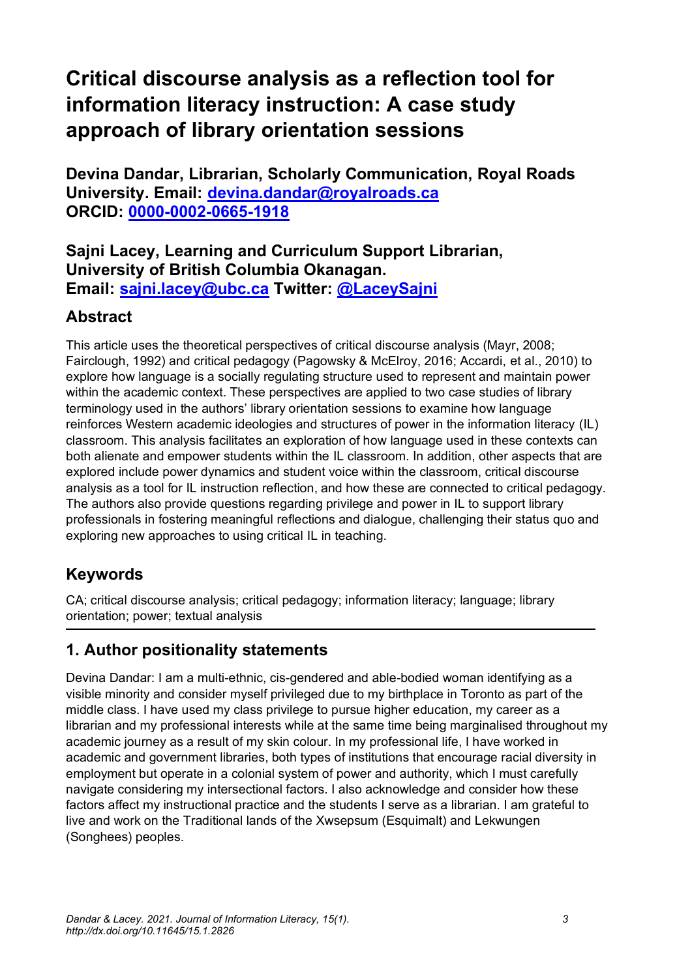# **Critical discourse analysis as a reflection tool for information literacy instruction: A case study approach of library orientation sessions**

**Devina Dandar, Librarian, Scholarly Communication, Royal Roads University. Email: [devina.dandar@royalroads.ca](mailto:devina.dandar@royalroads.ca)  ORCID: [0000-0002-0665-1918](http://orcid.org/0000-0002-0665-1918)**

**Sajni Lacey, Learning and Curriculum Support Librarian, University of British Columbia Okanagan. Email: [sajni.lacey@ubc.ca](mailto:sajni.lacey@ubc.ca) Twitter: [@LaceySajni](https://twitter.com/laceysajni?lang=en)**

# **Abstract**

This article uses the theoretical perspectives of critical discourse analysis (Mayr, 2008; Fairclough, 1992) and critical pedagogy (Pagowsky & McElroy, 2016; Accardi, et al., 2010) to explore how language is a socially regulating structure used to represent and maintain power within the academic context. These perspectives are applied to two case studies of library terminology used in the authors' library orientation sessions to examine how language reinforces Western academic ideologies and structures of power in the information literacy (IL) classroom. This analysis facilitates an exploration of how language used in these contexts can both alienate and empower students within the IL classroom. In addition, other aspects that are explored include power dynamics and student voice within the classroom, critical discourse analysis as a tool for IL instruction reflection, and how these are connected to critical pedagogy. The authors also provide questions regarding privilege and power in IL to support library professionals in fostering meaningful reflections and dialogue, challenging their status quo and exploring new approaches to using critical IL in teaching.

# **Keywords**

CA; critical discourse analysis; critical pedagogy; information literacy; language; library orientation; power; textual analysis

# **1. Author positionality statements**

Devina Dandar: I am a multi-ethnic, cis-gendered and able-bodied woman identifying as a visible minority and consider myself privileged due to my birthplace in Toronto as part of the middle class. I have used my class privilege to pursue higher education, my career as a librarian and my professional interests while at the same time being marginalised throughout my academic journey as a result of my skin colour. In my professional life, I have worked in academic and government libraries, both types of institutions that encourage racial diversity in employment but operate in a colonial system of power and authority, which I must carefully navigate considering my intersectional factors. I also acknowledge and consider how these factors affect my instructional practice and the students I serve as a librarian. I am grateful to live and work on the Traditional lands of the Xwsepsum (Esquimalt) and Lekwungen (Songhees) peoples.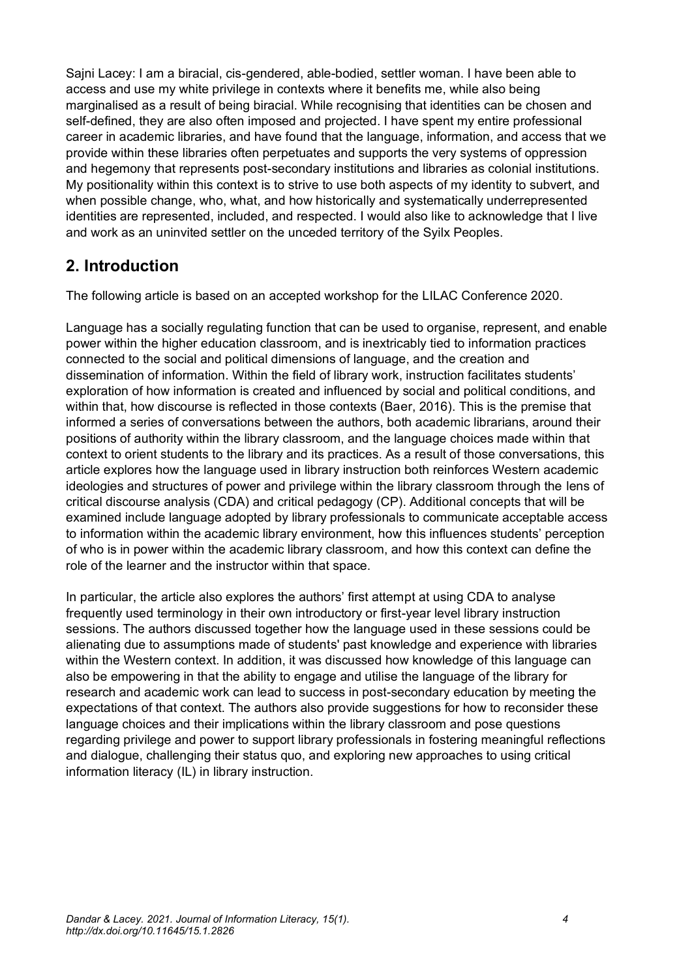Sajni Lacey: I am a biracial, cis-gendered, able-bodied, settler woman. I have been able to access and use my white privilege in contexts where it benefits me, while also being marginalised as a result of being biracial. While recognising that identities can be chosen and self-defined, they are also often imposed and projected. I have spent my entire professional career in academic libraries, and have found that the language, information, and access that we provide within these libraries often perpetuates and supports the very systems of oppression and hegemony that represents post-secondary institutions and libraries as colonial institutions. My positionality within this context is to strive to use both aspects of my identity to subvert, and when possible change, who, what, and how historically and systematically underrepresented identities are represented, included, and respected. I would also like to acknowledge that I live and work as an uninvited settler on the unceded territory of the Syilx Peoples.

# **2. Introduction**

The following article is based on an accepted workshop for the LILAC Conference 2020.

Language has a socially regulating function that can be used to organise, represent, and enable power within the higher education classroom, and is inextricably tied to information practices connected to the social and political dimensions of language, and the creation and dissemination of information. Within the field of library work, instruction facilitates students' exploration of how information is created and influenced by social and political conditions, and within that, how discourse is reflected in those contexts (Baer, 2016). This is the premise that informed a series of conversations between the authors, both academic librarians, around their positions of authority within the library classroom, and the language choices made within that context to orient students to the library and its practices. As a result of those conversations, this article explores how the language used in library instruction both reinforces Western academic ideologies and structures of power and privilege within the library classroom through the lens of critical discourse analysis (CDA) and critical pedagogy (CP). Additional concepts that will be examined include language adopted by library professionals to communicate acceptable access to information within the academic library environment, how this influences students' perception of who is in power within the academic library classroom, and how this context can define the role of the learner and the instructor within that space.

In particular, the article also explores the authors' first attempt at using CDA to analyse frequently used terminology in their own introductory or first-year level library instruction sessions. The authors discussed together how the language used in these sessions could be alienating due to assumptions made of students' past knowledge and experience with libraries within the Western context. In addition, it was discussed how knowledge of this language can also be empowering in that the ability to engage and utilise the language of the library for research and academic work can lead to success in post-secondary education by meeting the expectations of that context. The authors also provide suggestions for how to reconsider these language choices and their implications within the library classroom and pose questions regarding privilege and power to support library professionals in fostering meaningful reflections and dialogue, challenging their status quo, and exploring new approaches to using critical information literacy (IL) in library instruction.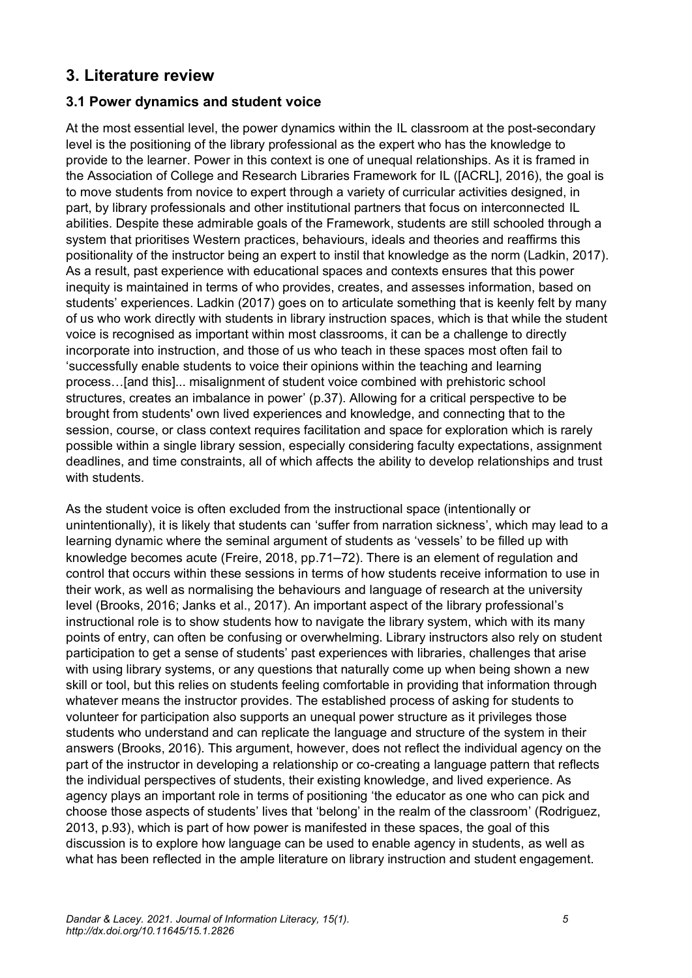## **3. Literature review**

### **3.1 Power dynamics and student voice**

At the most essential level, the power dynamics within the IL classroom at the post-secondary level is the positioning of the library professional as the expert who has the knowledge to provide to the learner. Power in this context is one of unequal relationships. As it is framed in the Association of College and Research Libraries Framework for IL ([ACRL], 2016), the goal is to move students from novice to expert through a variety of curricular activities designed, in part, by library professionals and other institutional partners that focus on interconnected IL abilities. Despite these admirable goals of the Framework, students are still schooled through a system that prioritises Western practices, behaviours, ideals and theories and reaffirms this positionality of the instructor being an expert to instil that knowledge as the norm (Ladkin, 2017). As a result, past experience with educational spaces and contexts ensures that this power inequity is maintained in terms of who provides, creates, and assesses information, based on students' experiences. Ladkin (2017) goes on to articulate something that is keenly felt by many of us who work directly with students in library instruction spaces, which is that while the student voice is recognised as important within most classrooms, it can be a challenge to directly incorporate into instruction, and those of us who teach in these spaces most often fail to 'successfully enable students to voice their opinions within the teaching and learning process…[and this]... misalignment of student voice combined with prehistoric school structures, creates an imbalance in power' (p.37). Allowing for a critical perspective to be brought from students' own lived experiences and knowledge, and connecting that to the session, course, or class context requires facilitation and space for exploration which is rarely possible within a single library session, especially considering faculty expectations, assignment deadlines, and time constraints, all of which affects the ability to develop relationships and trust with students.

As the student voice is often excluded from the instructional space (intentionally or unintentionally), it is likely that students can 'suffer from narration sickness', which may lead to a learning dynamic where the seminal argument of students as 'vessels' to be filled up with knowledge becomes acute (Freire, 2018, pp.71–72). There is an element of regulation and control that occurs within these sessions in terms of how students receive information to use in their work, as well as normalising the behaviours and language of research at the university level (Brooks, 2016; Janks et al., 2017). An important aspect of the library professional's instructional role is to show students how to navigate the library system, which with its many points of entry, can often be confusing or overwhelming. Library instructors also rely on student participation to get a sense of students' past experiences with libraries, challenges that arise with using library systems, or any questions that naturally come up when being shown a new skill or tool, but this relies on students feeling comfortable in providing that information through whatever means the instructor provides. The established process of asking for students to volunteer for participation also supports an unequal power structure as it privileges those students who understand and can replicate the language and structure of the system in their answers (Brooks, 2016). This argument, however, does not reflect the individual agency on the part of the instructor in developing a relationship or co-creating a language pattern that reflects the individual perspectives of students, their existing knowledge, and lived experience. As agency plays an important role in terms of positioning 'the educator as one who can pick and choose those aspects of students' lives that 'belong' in the realm of the classroom' (Rodriguez, 2013, p.93), which is part of how power is manifested in these spaces, the goal of this discussion is to explore how language can be used to enable agency in students, as well as what has been reflected in the ample literature on library instruction and student engagement.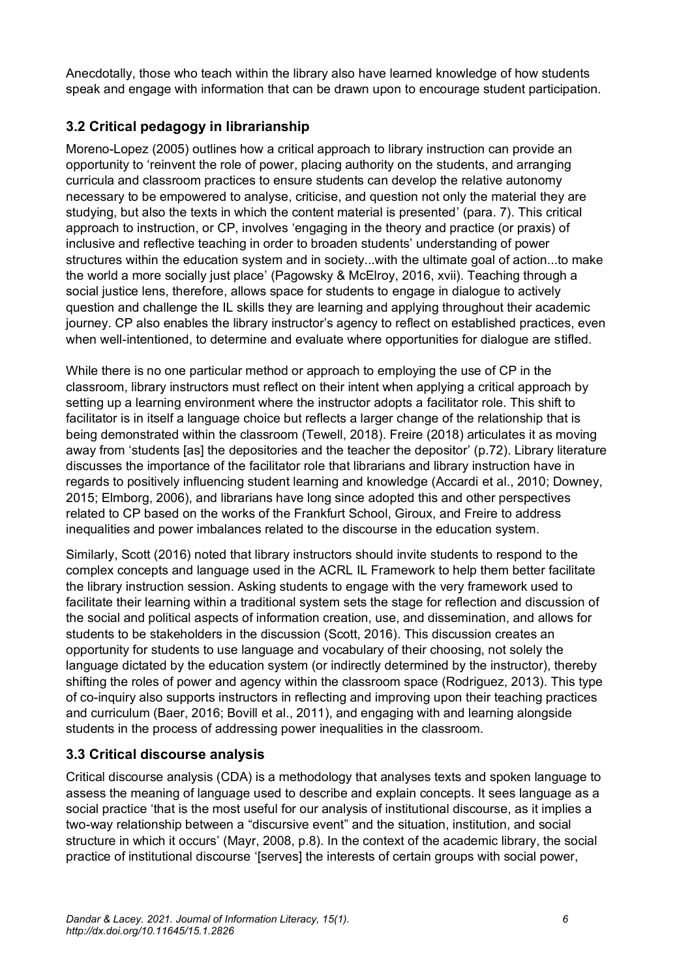Anecdotally, those who teach within the library also have learned knowledge of how students speak and engage with information that can be drawn upon to encourage student participation.

## **3.2 Critical pedagogy in librarianship**

Moreno-Lopez (2005) outlines how a critical approach to library instruction can provide an opportunity to 'reinvent the role of power, placing authority on the students, and arranging curricula and classroom practices to ensure students can develop the relative autonomy necessary to be empowered to analyse, criticise, and question not only the material they are studying, but also the texts in which the content material is presented' (para. 7). This critical approach to instruction, or CP, involves 'engaging in the theory and practice (or praxis) of inclusive and reflective teaching in order to broaden students' understanding of power structures within the education system and in society...with the ultimate goal of action...to make the world a more socially just place' (Pagowsky & McElroy, 2016, xvii). Teaching through a social justice lens, therefore, allows space for students to engage in dialogue to actively question and challenge the IL skills they are learning and applying throughout their academic journey. CP also enables the library instructor's agency to reflect on established practices, even when well-intentioned, to determine and evaluate where opportunities for dialogue are stifled.

While there is no one particular method or approach to employing the use of CP in the classroom, library instructors must reflect on their intent when applying a critical approach by setting up a learning environment where the instructor adopts a facilitator role. This shift to facilitator is in itself a language choice but reflects a larger change of the relationship that is being demonstrated within the classroom (Tewell, 2018). Freire (2018) articulates it as moving away from 'students [as] the depositories and the teacher the depositor' (p.72). Library literature discusses the importance of the facilitator role that librarians and library instruction have in regards to positively influencing student learning and knowledge (Accardi et al., 2010; Downey, 2015; Elmborg, 2006), and librarians have long since adopted this and other perspectives related to CP based on the works of the Frankfurt School, Giroux, and Freire to address inequalities and power imbalances related to the discourse in the education system.

Similarly, Scott (2016) noted that library instructors should invite students to respond to the complex concepts and language used in the ACRL IL Framework to help them better facilitate the library instruction session. Asking students to engage with the very framework used to facilitate their learning within a traditional system sets the stage for reflection and discussion of the social and political aspects of information creation, use, and dissemination, and allows for students to be stakeholders in the discussion (Scott, 2016). This discussion creates an opportunity for students to use language and vocabulary of their choosing, not solely the language dictated by the education system (or indirectly determined by the instructor), thereby shifting the roles of power and agency within the classroom space (Rodriguez, 2013). This type of co-inquiry also supports instructors in reflecting and improving upon their teaching practices and curriculum (Baer, 2016; Bovill et al., 2011), and engaging with and learning alongside students in the process of addressing power inequalities in the classroom.

### **3.3 Critical discourse analysis**

Critical discourse analysis (CDA) is a methodology that analyses texts and spoken language to assess the meaning of language used to describe and explain concepts. It sees language as a social practice 'that is the most useful for our analysis of institutional discourse, as it implies a two-way relationship between a "discursive event" and the situation, institution, and social structure in which it occurs' (Mayr, 2008, p.8). In the context of the academic library, the social practice of institutional discourse '[serves] the interests of certain groups with social power,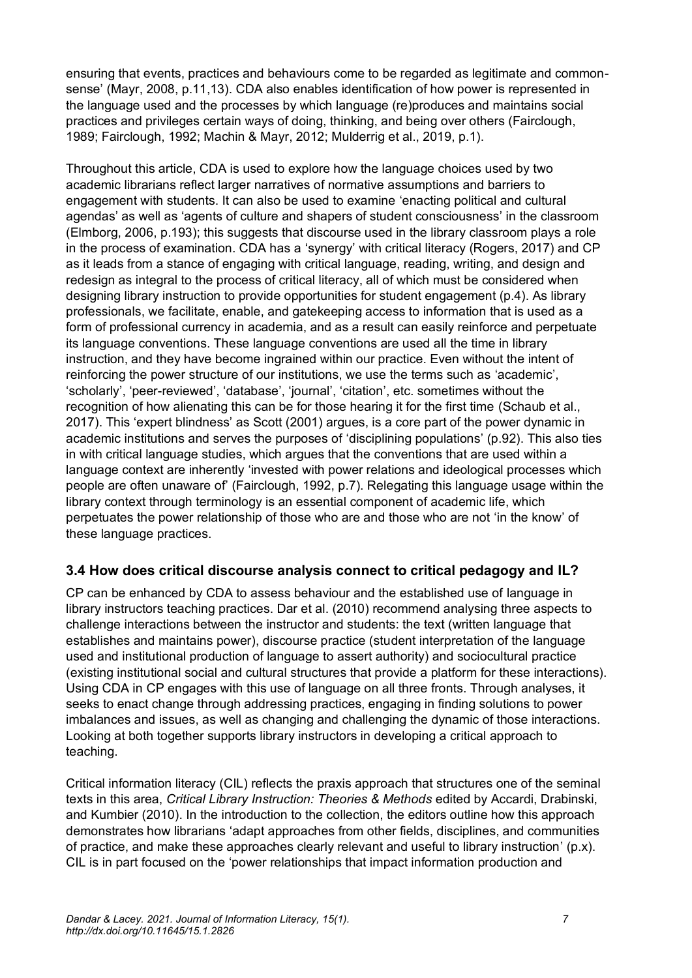ensuring that events, practices and behaviours come to be regarded as legitimate and commonsense' (Mayr, 2008, p.11,13). CDA also enables identification of how power is represented in the language used and the processes by which language (re)produces and maintains social practices and privileges certain ways of doing, thinking, and being over others (Fairclough, 1989; Fairclough, 1992; Machin & Mayr, 2012; Mulderrig et al., 2019, p.1).

Throughout this article, CDA is used to explore how the language choices used by two academic librarians reflect larger narratives of normative assumptions and barriers to engagement with students. It can also be used to examine 'enacting political and cultural agendas' as well as 'agents of culture and shapers of student consciousness' in the classroom (Elmborg, 2006, p.193); this suggests that discourse used in the library classroom plays a role in the process of examination. CDA has a 'synergy' with critical literacy (Rogers, 2017) and CP as it leads from a stance of engaging with critical language, reading, writing, and design and redesign as integral to the process of critical literacy, all of which must be considered when designing library instruction to provide opportunities for student engagement (p.4). As library professionals, we facilitate, enable, and gatekeeping access to information that is used as a form of professional currency in academia, and as a result can easily reinforce and perpetuate its language conventions. These language conventions are used all the time in library instruction, and they have become ingrained within our practice. Even without the intent of reinforcing the power structure of our institutions, we use the terms such as 'academic', 'scholarly', 'peer-reviewed', 'database', 'journal', 'citation', etc. sometimes without the recognition of how alienating this can be for those hearing it for the first time (Schaub et al., 2017). This 'expert blindness' as Scott (2001) argues, is a core part of the power dynamic in academic institutions and serves the purposes of 'disciplining populations' (p.92). This also ties in with critical language studies, which argues that the conventions that are used within a language context are inherently 'invested with power relations and ideological processes which people are often unaware of' (Fairclough, 1992, p.7). Relegating this language usage within the library context through terminology is an essential component of academic life, which perpetuates the power relationship of those who are and those who are not 'in the know' of these language practices.

### **3.4 How does critical discourse analysis connect to critical pedagogy and IL?**

CP can be enhanced by CDA to assess behaviour and the established use of language in library instructors teaching practices. Dar et al. (2010) recommend analysing three aspects to challenge interactions between the instructor and students: the text (written language that establishes and maintains power), discourse practice (student interpretation of the language used and institutional production of language to assert authority) and sociocultural practice (existing institutional social and cultural structures that provide a platform for these interactions). Using CDA in CP engages with this use of language on all three fronts. Through analyses, it seeks to enact change through addressing practices, engaging in finding solutions to power imbalances and issues, as well as changing and challenging the dynamic of those interactions. Looking at both together supports library instructors in developing a critical approach to teaching.

Critical information literacy (CIL) reflects the praxis approach that structures one of the seminal texts in this area, *Critical Library Instruction: Theories & Methods* edited by Accardi, Drabinski, and Kumbier (2010). In the introduction to the collection, the editors outline how this approach demonstrates how librarians 'adapt approaches from other fields, disciplines, and communities of practice, and make these approaches clearly relevant and useful to library instruction' (p.x). CIL is in part focused on the 'power relationships that impact information production and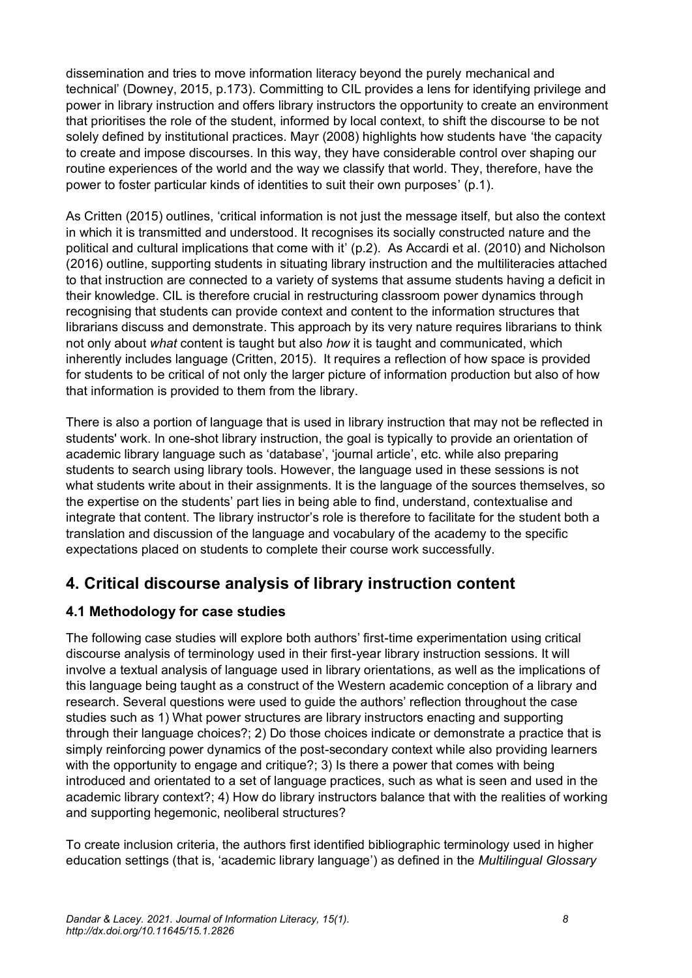dissemination and tries to move information literacy beyond the purely mechanical and technical' (Downey, 2015, p.173). Committing to CIL provides a lens for identifying privilege and power in library instruction and offers library instructors the opportunity to create an environment that prioritises the role of the student, informed by local context, to shift the discourse to be not solely defined by institutional practices. Mayr (2008) highlights how students have 'the capacity to create and impose discourses. In this way, they have considerable control over shaping our routine experiences of the world and the way we classify that world. They, therefore, have the power to foster particular kinds of identities to suit their own purposes' (p.1).

As Critten (2015) outlines, 'critical information is not just the message itself, but also the context in which it is transmitted and understood. It recognises its socially constructed nature and the political and cultural implications that come with it' (p.2). As Accardi et al. (2010) and Nicholson (2016) outline, supporting students in situating library instruction and the multiliteracies attached to that instruction are connected to a variety of systems that assume students having a deficit in their knowledge. CIL is therefore crucial in restructuring classroom power dynamics through recognising that students can provide context and content to the information structures that librarians discuss and demonstrate. This approach by its very nature requires librarians to think not only about *what* content is taught but also *how* it is taught and communicated, which inherently includes language (Critten, 2015). It requires a reflection of how space is provided for students to be critical of not only the larger picture of information production but also of how that information is provided to them from the library.

There is also a portion of language that is used in library instruction that may not be reflected in students' work. In one-shot library instruction, the goal is typically to provide an orientation of academic library language such as 'database', 'journal article', etc. while also preparing students to search using library tools. However, the language used in these sessions is not what students write about in their assignments. It is the language of the sources themselves, so the expertise on the students' part lies in being able to find, understand, contextualise and integrate that content. The library instructor's role is therefore to facilitate for the student both a translation and discussion of the language and vocabulary of the academy to the specific expectations placed on students to complete their course work successfully.

# **4. Critical discourse analysis of library instruction content**

### **4.1 Methodology for case studies**

The following case studies will explore both authors' first-time experimentation using critical discourse analysis of terminology used in their first-year library instruction sessions. It will involve a textual analysis of language used in library orientations, as well as the implications of this language being taught as a construct of the Western academic conception of a library and research. Several questions were used to guide the authors' reflection throughout the case studies such as 1) What power structures are library instructors enacting and supporting through their language choices?; 2) Do those choices indicate or demonstrate a practice that is simply reinforcing power dynamics of the post-secondary context while also providing learners with the opportunity to engage and critique?; 3) Is there a power that comes with being introduced and orientated to a set of language practices, such as what is seen and used in the academic library context?; 4) How do library instructors balance that with the realities of working and supporting hegemonic, neoliberal structures?

To create inclusion criteria, the authors first identified bibliographic terminology used in higher education settings (that is, 'academic library language') as defined in the *Multilingual Glossary*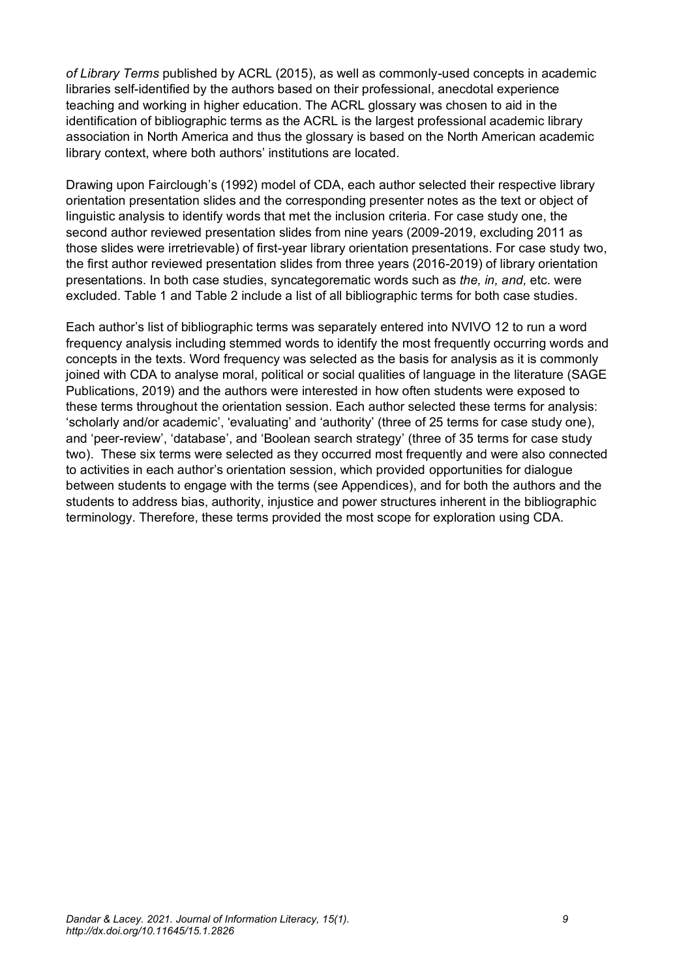*of Library Terms* published by ACRL (2015), as well as commonly-used concepts in academic libraries self-identified by the authors based on their professional, anecdotal experience teaching and working in higher education. The ACRL glossary was chosen to aid in the identification of bibliographic terms as the ACRL is the largest professional academic library association in North America and thus the glossary is based on the North American academic library context, where both authors' institutions are located.

Drawing upon Fairclough's (1992) model of CDA, each author selected their respective library orientation presentation slides and the corresponding presenter notes as the text or object of linguistic analysis to identify words that met the inclusion criteria. For case study one, the second author reviewed presentation slides from nine years (2009-2019, excluding 2011 as those slides were irretrievable) of first-year library orientation presentations. For case study two, the first author reviewed presentation slides from three years (2016-2019) of library orientation presentations. In both case studies, syncategorematic words such as *the, in, and,* etc. were excluded. Table 1 and Table 2 include a list of all bibliographic terms for both case studies.

Each author's list of bibliographic terms was separately entered into NVIVO 12 to run a word frequency analysis including stemmed words to identify the most frequently occurring words and concepts in the texts. Word frequency was selected as the basis for analysis as it is commonly joined with CDA to analyse moral, political or social qualities of language in the literature (SAGE Publications, 2019) and the authors were interested in how often students were exposed to these terms throughout the orientation session. Each author selected these terms for analysis: 'scholarly and/or academic', 'evaluating' and 'authority' (three of 25 terms for case study one), and 'peer-review', 'database', and 'Boolean search strategy' (three of 35 terms for case study two). These six terms were selected as they occurred most frequently and were also connected to activities in each author's orientation session, which provided opportunities for dialogue between students to engage with the terms (see Appendices), and for both the authors and the students to address bias, authority, injustice and power structures inherent in the bibliographic terminology. Therefore, these terms provided the most scope for exploration using CDA.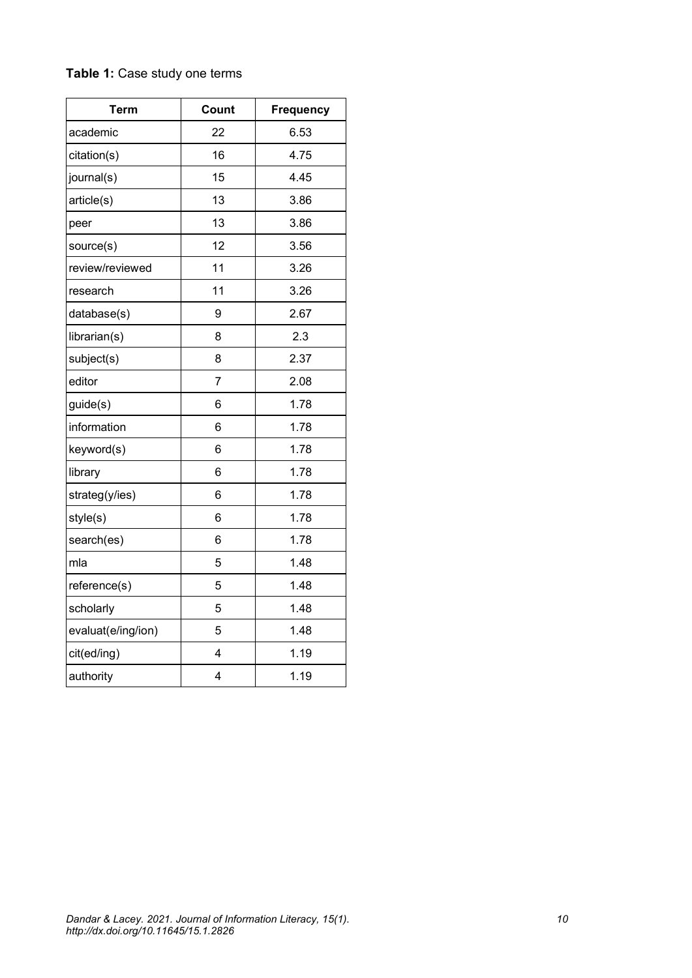| <b>Term</b>        | Count          | <b>Frequency</b> |
|--------------------|----------------|------------------|
| academic           | 22             | 6.53             |
| citation(s)        | 16             | 4.75             |
| journal(s)         | 15             | 4.45             |
| article(s)         | 13             | 3.86             |
| peer               | 13             | 3.86             |
| source(s)          | 12             | 3.56             |
| review/reviewed    | 11             | 3.26             |
| research           | 11             | 3.26             |
| database(s)        | 9              | 2.67             |
| librarian(s)       | 8              | 2.3              |
| subject(s)         | 8              | 2.37             |
| editor             | $\overline{7}$ | 2.08             |
| guide(s)           | 6              | 1.78             |
| information        | 6              | 1.78             |
| keyword(s)         | 6              | 1.78             |
| library            | 6              | 1.78             |
| strateg(y/ies)     | 6              | 1.78             |
| style(s)           | 6              | 1.78             |
| search(es)         | 6              | 1.78             |
| mla                | 5              | 1.48             |
| reference(s)       | 5              | 1.48             |
| scholarly          | 5              | 1.48             |
| evaluat(e/ing/ion) | 5              | 1.48             |
| cit(ed/ing)        | 4              | 1.19             |
| authority          | $\overline{4}$ | 1.19             |

### **Table 1:** Case study one terms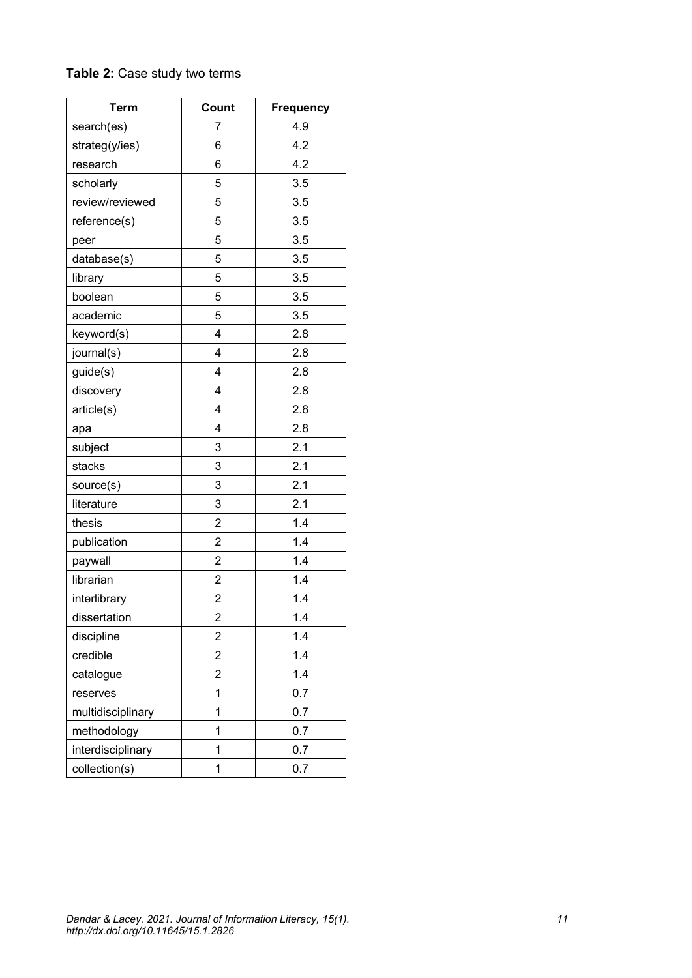### **Table 2:** Case study two terms

| <b>Term</b>       | Count          | <b>Frequency</b> |
|-------------------|----------------|------------------|
| search(es)        | 7              | 4.9              |
| strateg(y/ies)    | 6              | 4.2              |
| research          | 6              | 4.2              |
| scholarly         | 5              | 3.5              |
| review/reviewed   | 5              | 3.5              |
| reference(s)      | 5              | 3.5              |
| peer              | 5              | 3.5              |
| database(s)       | 5              | 3.5              |
| library           | 5              | 3.5              |
| boolean           | 5              | 3.5              |
| academic          | 5              | 3.5              |
| keyword(s)        | 4              | 2.8              |
| journal(s)        | 4              | 2.8              |
| guide(s)          | 4              | 2.8              |
| discovery         | 4              | 2.8              |
| article(s)        | 4              | 2.8              |
| apa               | 4              | 2.8              |
| subject           | 3              | 2.1              |
| stacks            | 3              | 2.1              |
| source(s)         | 3              | 2.1              |
| literature        | 3              | 2.1              |
| thesis            | 2              | 1.4              |
| publication       | $\overline{c}$ | 1.4              |
| paywall           | $\overline{c}$ | 1.4              |
| librarian         | 2              | 1.4              |
| interlibrary      | 2              | 1.4              |
| dissertation      | $\mathfrak{p}$ | 1.4              |
| discipline        | 2              | 1.4              |
| credible          | 2              | 1.4              |
| catalogue         | $\overline{c}$ | 1.4              |
| reserves          | 1              | 0.7              |
| multidisciplinary | 1              | 0.7              |
| methodology       | 1              | 0.7              |
| interdisciplinary | 1              | 0.7              |
| collection(s)     | 1              | 0.7              |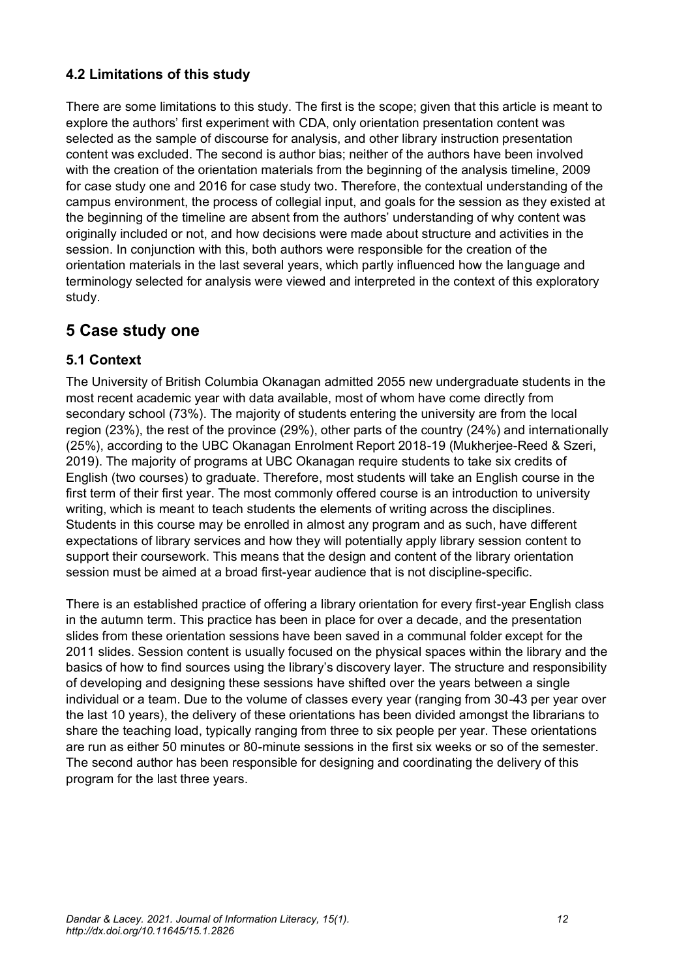### **4.2 Limitations of this study**

There are some limitations to this study. The first is the scope; given that this article is meant to explore the authors' first experiment with CDA, only orientation presentation content was selected as the sample of discourse for analysis, and other library instruction presentation content was excluded. The second is author bias; neither of the authors have been involved with the creation of the orientation materials from the beginning of the analysis timeline, 2009 for case study one and 2016 for case study two. Therefore, the contextual understanding of the campus environment, the process of collegial input, and goals for the session as they existed at the beginning of the timeline are absent from the authors' understanding of why content was originally included or not, and how decisions were made about structure and activities in the session. In conjunction with this, both authors were responsible for the creation of the orientation materials in the last several years, which partly influenced how the language and terminology selected for analysis were viewed and interpreted in the context of this exploratory study.

# **5 Case study one**

### **5.1 Context**

The University of British Columbia Okanagan admitted 2055 new undergraduate students in the most recent academic year with data available, most of whom have come directly from secondary school (73%). The majority of students entering the university are from the local region (23%), the rest of the province (29%), other parts of the country (24%) and internationally (25%), according to the UBC Okanagan Enrolment Report 2018-19 (Mukherjee-Reed & Szeri, 2019). The majority of programs at UBC Okanagan require students to take six credits of English (two courses) to graduate. Therefore, most students will take an English course in the first term of their first year. The most commonly offered course is an introduction to university writing, which is meant to teach students the elements of writing across the disciplines. Students in this course may be enrolled in almost any program and as such, have different expectations of library services and how they will potentially apply library session content to support their coursework. This means that the design and content of the library orientation session must be aimed at a broad first-year audience that is not discipline-specific.

There is an established practice of offering a library orientation for every first-year English class in the autumn term. This practice has been in place for over a decade, and the presentation slides from these orientation sessions have been saved in a communal folder except for the 2011 slides. Session content is usually focused on the physical spaces within the library and the basics of how to find sources using the library's discovery layer. The structure and responsibility of developing and designing these sessions have shifted over the years between a single individual or a team. Due to the volume of classes every year (ranging from 30-43 per year over the last 10 years), the delivery of these orientations has been divided amongst the librarians to share the teaching load, typically ranging from three to six people per year. These orientations are run as either 50 minutes or 80-minute sessions in the first six weeks or so of the semester. The second author has been responsible for designing and coordinating the delivery of this program for the last three years.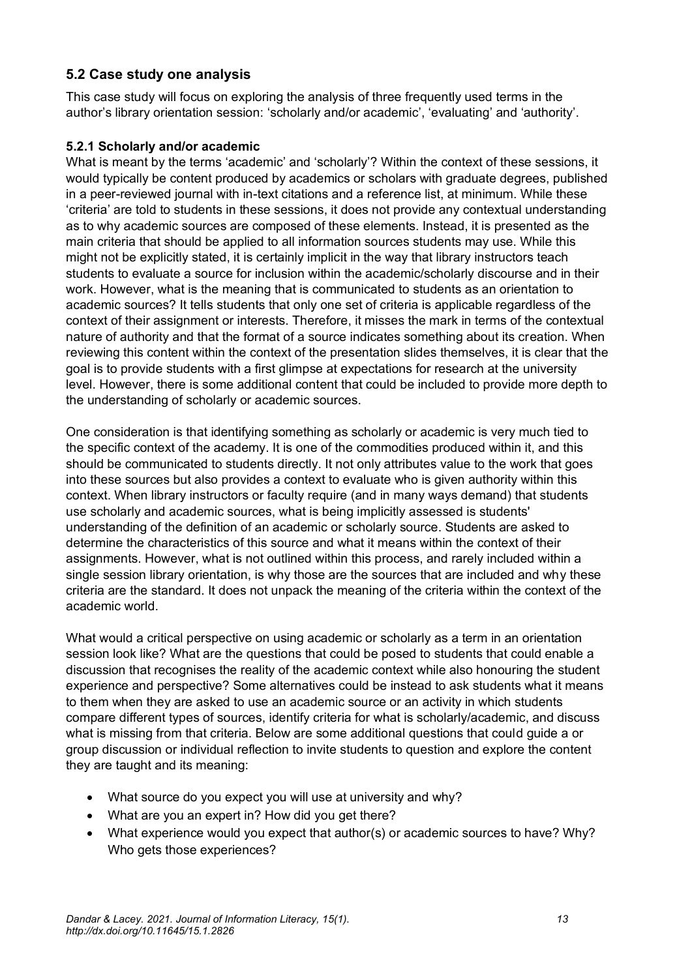### **5.2 Case study one analysis**

This case study will focus on exploring the analysis of three frequently used terms in the author's library orientation session: 'scholarly and/or academic', 'evaluating' and 'authority'.

#### **5.2.1 Scholarly and/or academic**

What is meant by the terms 'academic' and 'scholarly'? Within the context of these sessions, it would typically be content produced by academics or scholars with graduate degrees, published in a peer-reviewed journal with in-text citations and a reference list, at minimum. While these 'criteria' are told to students in these sessions, it does not provide any contextual understanding as to why academic sources are composed of these elements. Instead, it is presented as the main criteria that should be applied to all information sources students may use. While this might not be explicitly stated, it is certainly implicit in the way that library instructors teach students to evaluate a source for inclusion within the academic/scholarly discourse and in their work. However, what is the meaning that is communicated to students as an orientation to academic sources? It tells students that only one set of criteria is applicable regardless of the context of their assignment or interests. Therefore, it misses the mark in terms of the contextual nature of authority and that the format of a source indicates something about its creation. When reviewing this content within the context of the presentation slides themselves, it is clear that the goal is to provide students with a first glimpse at expectations for research at the university level. However, there is some additional content that could be included to provide more depth to the understanding of scholarly or academic sources.

One consideration is that identifying something as scholarly or academic is very much tied to the specific context of the academy. It is one of the commodities produced within it, and this should be communicated to students directly. It not only attributes value to the work that goes into these sources but also provides a context to evaluate who is given authority within this context. When library instructors or faculty require (and in many ways demand) that students use scholarly and academic sources, what is being implicitly assessed is students' understanding of the definition of an academic or scholarly source. Students are asked to determine the characteristics of this source and what it means within the context of their assignments. However, what is not outlined within this process, and rarely included within a single session library orientation, is why those are the sources that are included and why these criteria are the standard. It does not unpack the meaning of the criteria within the context of the academic world.

What would a critical perspective on using academic or scholarly as a term in an orientation session look like? What are the questions that could be posed to students that could enable a discussion that recognises the reality of the academic context while also honouring the student experience and perspective? Some alternatives could be instead to ask students what it means to them when they are asked to use an academic source or an activity in which students compare different types of sources, identify criteria for what is scholarly/academic, and discuss what is missing from that criteria. Below are some additional questions that could guide a or group discussion or individual reflection to invite students to question and explore the content they are taught and its meaning:

- What source do you expect you will use at university and why?
- What are you an expert in? How did you get there?
- What experience would you expect that author(s) or academic sources to have? Why? Who gets those experiences?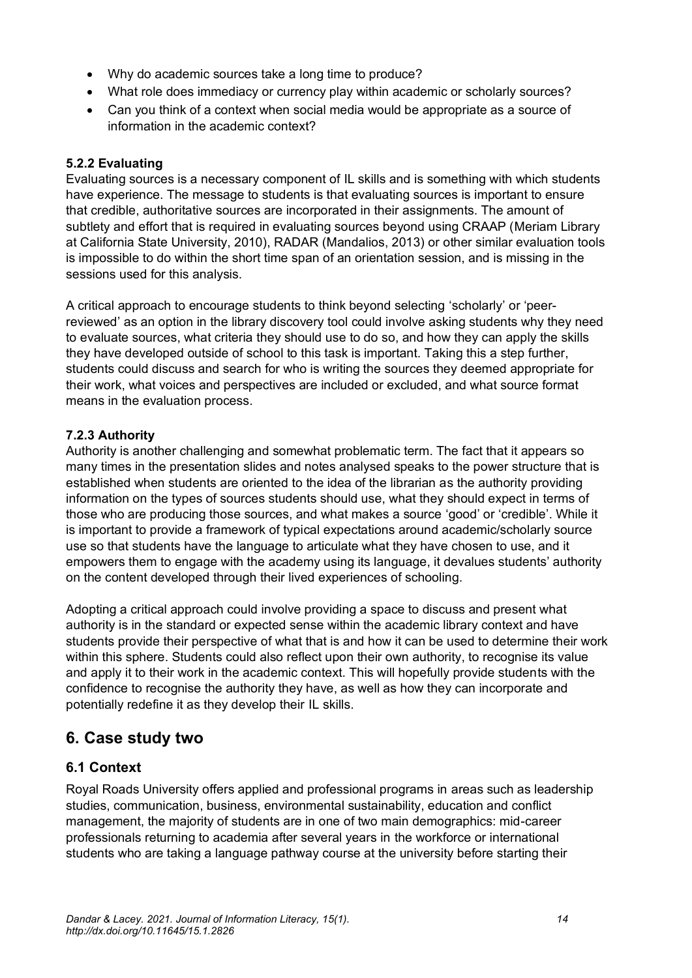- Why do academic sources take a long time to produce?
- What role does immediacy or currency play within academic or scholarly sources?
- Can you think of a context when social media would be appropriate as a source of information in the academic context?

#### **5.2.2 Evaluating**

Evaluating sources is a necessary component of IL skills and is something with which students have experience. The message to students is that evaluating sources is important to ensure that credible, authoritative sources are incorporated in their assignments. The amount of subtlety and effort that is required in evaluating sources beyond using CRAAP (Meriam Library at California State University, 2010), RADAR (Mandalios, 2013) or other similar evaluation tools is impossible to do within the short time span of an orientation session, and is missing in the sessions used for this analysis.

A critical approach to encourage students to think beyond selecting 'scholarly' or 'peerreviewed' as an option in the library discovery tool could involve asking students why they need to evaluate sources, what criteria they should use to do so, and how they can apply the skills they have developed outside of school to this task is important. Taking this a step further, students could discuss and search for who is writing the sources they deemed appropriate for their work, what voices and perspectives are included or excluded, and what source format means in the evaluation process.

#### **7.2.3 Authority**

Authority is another challenging and somewhat problematic term. The fact that it appears so many times in the presentation slides and notes analysed speaks to the power structure that is established when students are oriented to the idea of the librarian as the authority providing information on the types of sources students should use, what they should expect in terms of those who are producing those sources, and what makes a source 'good' or 'credible'. While it is important to provide a framework of typical expectations around academic/scholarly source use so that students have the language to articulate what they have chosen to use, and it empowers them to engage with the academy using its language, it devalues students' authority on the content developed through their lived experiences of schooling.

Adopting a critical approach could involve providing a space to discuss and present what authority is in the standard or expected sense within the academic library context and have students provide their perspective of what that is and how it can be used to determine their work within this sphere. Students could also reflect upon their own authority, to recognise its value and apply it to their work in the academic context. This will hopefully provide students with the confidence to recognise the authority they have, as well as how they can incorporate and potentially redefine it as they develop their IL skills.

# **6. Case study two**

### **6.1 Context**

Royal Roads University offers applied and professional programs in areas such as leadership studies, communication, business, environmental sustainability, education and conflict management, the majority of students are in one of two main demographics: mid-career professionals returning to academia after several years in the workforce or international students who are taking a language pathway course at the university before starting their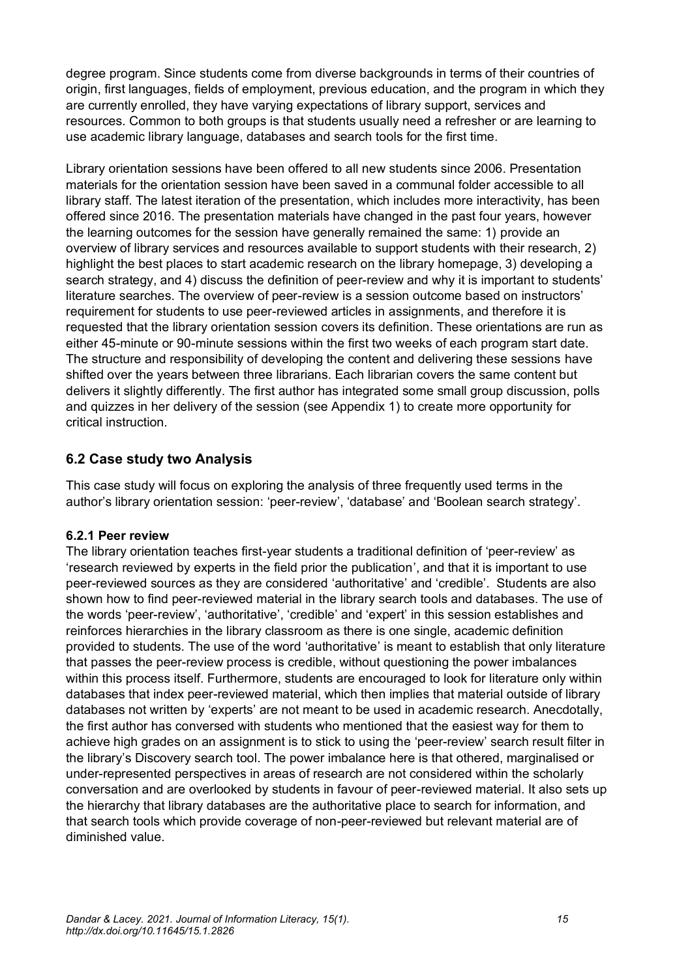degree program. Since students come from diverse backgrounds in terms of their countries of origin, first languages, fields of employment, previous education, and the program in which they are currently enrolled, they have varying expectations of library support, services and resources. Common to both groups is that students usually need a refresher or are learning to use academic library language, databases and search tools for the first time.

Library orientation sessions have been offered to all new students since 2006. Presentation materials for the orientation session have been saved in a communal folder accessible to all library staff. The latest iteration of the presentation, which includes more interactivity, has been offered since 2016. The presentation materials have changed in the past four years, however the learning outcomes for the session have generally remained the same: 1) provide an overview of library services and resources available to support students with their research, 2) highlight the best places to start academic research on the library homepage, 3) developing a search strategy, and 4) discuss the definition of peer-review and why it is important to students' literature searches. The overview of peer-review is a session outcome based on instructors' requirement for students to use peer-reviewed articles in assignments, and therefore it is requested that the library orientation session covers its definition. These orientations are run as either 45-minute or 90-minute sessions within the first two weeks of each program start date. The structure and responsibility of developing the content and delivering these sessions have shifted over the years between three librarians. Each librarian covers the same content but delivers it slightly differently. The first author has integrated some small group discussion, polls and quizzes in her delivery of the session (see Appendix 1) to create more opportunity for critical instruction.

### **6.2 Case study two Analysis**

This case study will focus on exploring the analysis of three frequently used terms in the author's library orientation session: 'peer-review', 'database' and 'Boolean search strategy'.

#### **6.2.1 Peer review**

The library orientation teaches first-year students a traditional definition of 'peer-review' as 'research reviewed by experts in the field prior the publication', and that it is important to use peer-reviewed sources as they are considered 'authoritative' and 'credible'. Students are also shown how to find peer-reviewed material in the library search tools and databases. The use of the words 'peer-review', 'authoritative', 'credible' and 'expert' in this session establishes and reinforces hierarchies in the library classroom as there is one single, academic definition provided to students. The use of the word 'authoritative' is meant to establish that only literature that passes the peer-review process is credible, without questioning the power imbalances within this process itself. Furthermore, students are encouraged to look for literature only within databases that index peer-reviewed material, which then implies that material outside of library databases not written by 'experts' are not meant to be used in academic research. Anecdotally, the first author has conversed with students who mentioned that the easiest way for them to achieve high grades on an assignment is to stick to using the 'peer-review' search result filter in the library's Discovery search tool. The power imbalance here is that othered, marginalised or under-represented perspectives in areas of research are not considered within the scholarly conversation and are overlooked by students in favour of peer-reviewed material. It also sets up the hierarchy that library databases are the authoritative place to search for information, and that search tools which provide coverage of non-peer-reviewed but relevant material are of diminished value.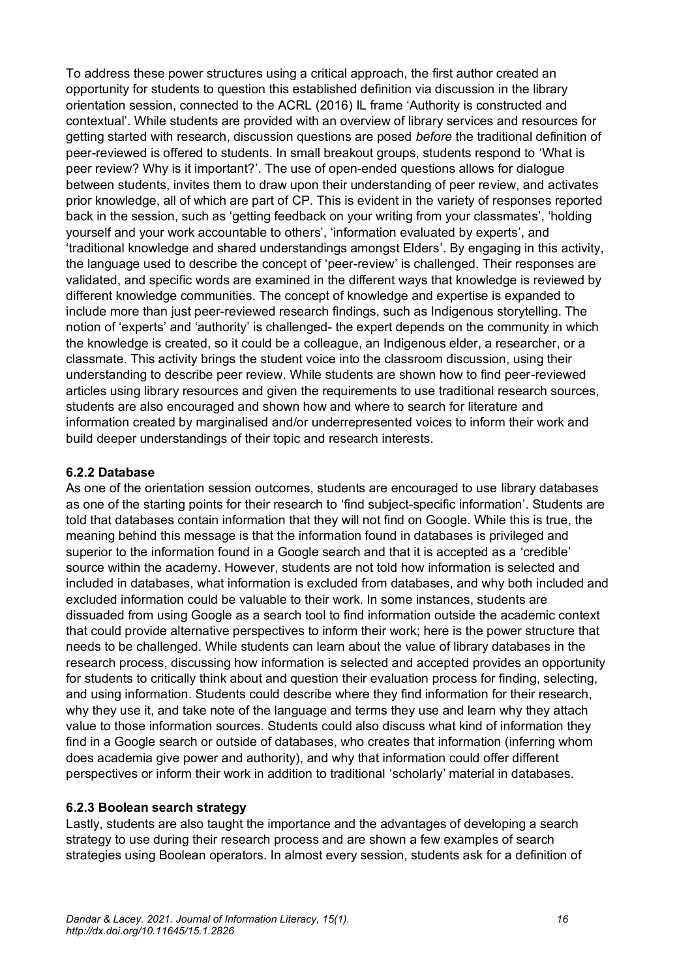To address these power structures using a critical approach, the first author created an opportunity for students to question this established definition via discussion in the library orientation session, connected to the ACRL (2016) IL frame 'Authority is constructed and contextual'. While students are provided with an overview of library services and resources for getting started with research, discussion questions are posed *before* the traditional definition of peer-reviewed is offered to students. In small breakout groups, students respond to 'What is peer review? Why is it important?'. The use of open-ended questions allows for dialogue between students, invites them to draw upon their understanding of peer review, and activates prior knowledge, all of which are part of CP. This is evident in the variety of responses reported back in the session, such as 'getting feedback on your writing from your classmates', 'holding yourself and your work accountable to others', 'information evaluated by experts', and 'traditional knowledge and shared understandings amongst Elders'. By engaging in this activity, the language used to describe the concept of 'peer-review' is challenged. Their responses are validated, and specific words are examined in the different ways that knowledge is reviewed by different knowledge communities. The concept of knowledge and expertise is expanded to include more than just peer-reviewed research findings, such as Indigenous storytelling. The notion of 'experts' and 'authority' is challenged- the expert depends on the community in which the knowledge is created, so it could be a colleague, an Indigenous elder, a researcher, or a classmate. This activity brings the student voice into the classroom discussion, using their understanding to describe peer review. While students are shown how to find peer-reviewed articles using library resources and given the requirements to use traditional research sources, students are also encouraged and shown how and where to search for literature and information created by marginalised and/or underrepresented voices to inform their work and build deeper understandings of their topic and research interests.

#### **6.2.2 Database**

As one of the orientation session outcomes, students are encouraged to use library databases as one of the starting points for their research to 'find subject-specific information'. Students are told that databases contain information that they will not find on Google. While this is true, the meaning behind this message is that the information found in databases is privileged and superior to the information found in a Google search and that it is accepted as a 'credible' source within the academy. However, students are not told how information is selected and included in databases, what information is excluded from databases, and why both included and excluded information could be valuable to their work. In some instances, students are dissuaded from using Google as a search tool to find information outside the academic context that could provide alternative perspectives to inform their work; here is the power structure that needs to be challenged. While students can learn about the value of library databases in the research process, discussing how information is selected and accepted provides an opportunity for students to critically think about and question their evaluation process for finding, selecting, and using information. Students could describe where they find information for their research, why they use it, and take note of the language and terms they use and learn why they attach value to those information sources. Students could also discuss what kind of information they find in a Google search or outside of databases, who creates that information (inferring whom does academia give power and authority), and why that information could offer different perspectives or inform their work in addition to traditional 'scholarly' material in databases.

#### **6.2.3 Boolean search strategy**

Lastly, students are also taught the importance and the advantages of developing a search strategy to use during their research process and are shown a few examples of search strategies using Boolean operators. In almost every session, students ask for a definition of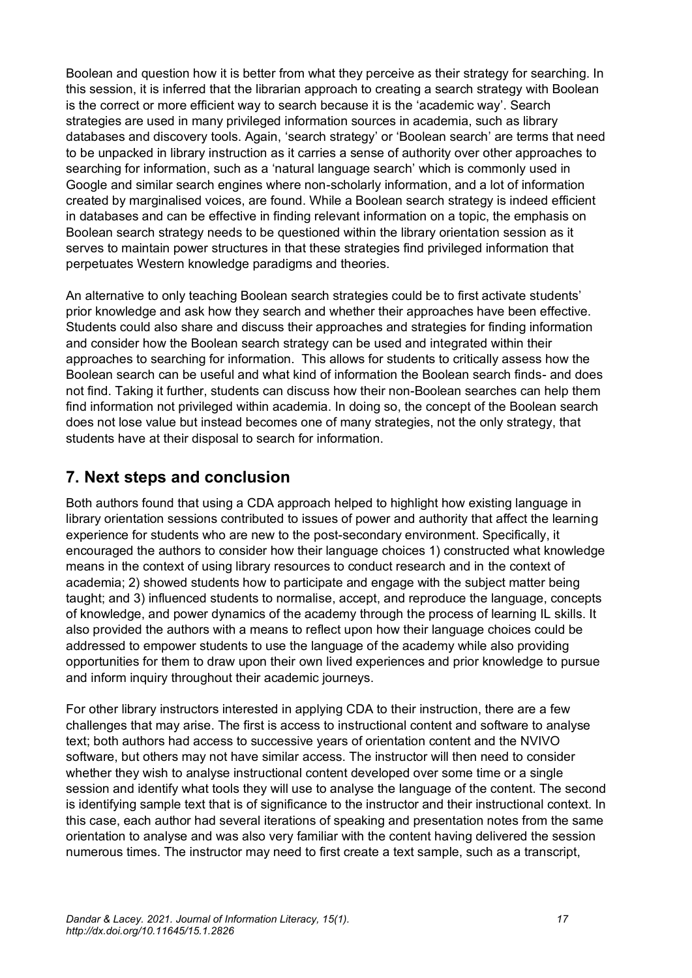Boolean and question how it is better from what they perceive as their strategy for searching. In this session, it is inferred that the librarian approach to creating a search strategy with Boolean is the correct or more efficient way to search because it is the 'academic way'. Search strategies are used in many privileged information sources in academia, such as library databases and discovery tools. Again, 'search strategy' or 'Boolean search' are terms that need to be unpacked in library instruction as it carries a sense of authority over other approaches to searching for information, such as a 'natural language search' which is commonly used in Google and similar search engines where non-scholarly information, and a lot of information created by marginalised voices, are found. While a Boolean search strategy is indeed efficient in databases and can be effective in finding relevant information on a topic, the emphasis on Boolean search strategy needs to be questioned within the library orientation session as it serves to maintain power structures in that these strategies find privileged information that perpetuates Western knowledge paradigms and theories.

An alternative to only teaching Boolean search strategies could be to first activate students' prior knowledge and ask how they search and whether their approaches have been effective. Students could also share and discuss their approaches and strategies for finding information and consider how the Boolean search strategy can be used and integrated within their approaches to searching for information. This allows for students to critically assess how the Boolean search can be useful and what kind of information the Boolean search finds- and does not find. Taking it further, students can discuss how their non-Boolean searches can help them find information not privileged within academia. In doing so, the concept of the Boolean search does not lose value but instead becomes one of many strategies, not the only strategy, that students have at their disposal to search for information.

# **7. Next steps and conclusion**

Both authors found that using a CDA approach helped to highlight how existing language in library orientation sessions contributed to issues of power and authority that affect the learning experience for students who are new to the post-secondary environment. Specifically, it encouraged the authors to consider how their language choices 1) constructed what knowledge means in the context of using library resources to conduct research and in the context of academia; 2) showed students how to participate and engage with the subject matter being taught; and 3) influenced students to normalise, accept, and reproduce the language, concepts of knowledge, and power dynamics of the academy through the process of learning IL skills. It also provided the authors with a means to reflect upon how their language choices could be addressed to empower students to use the language of the academy while also providing opportunities for them to draw upon their own lived experiences and prior knowledge to pursue and inform inquiry throughout their academic journeys.

For other library instructors interested in applying CDA to their instruction, there are a few challenges that may arise. The first is access to instructional content and software to analyse text; both authors had access to successive years of orientation content and the NVIVO software, but others may not have similar access. The instructor will then need to consider whether they wish to analyse instructional content developed over some time or a single session and identify what tools they will use to analyse the language of the content. The second is identifying sample text that is of significance to the instructor and their instructional context. In this case, each author had several iterations of speaking and presentation notes from the same orientation to analyse and was also very familiar with the content having delivered the session numerous times. The instructor may need to first create a text sample, such as a transcript,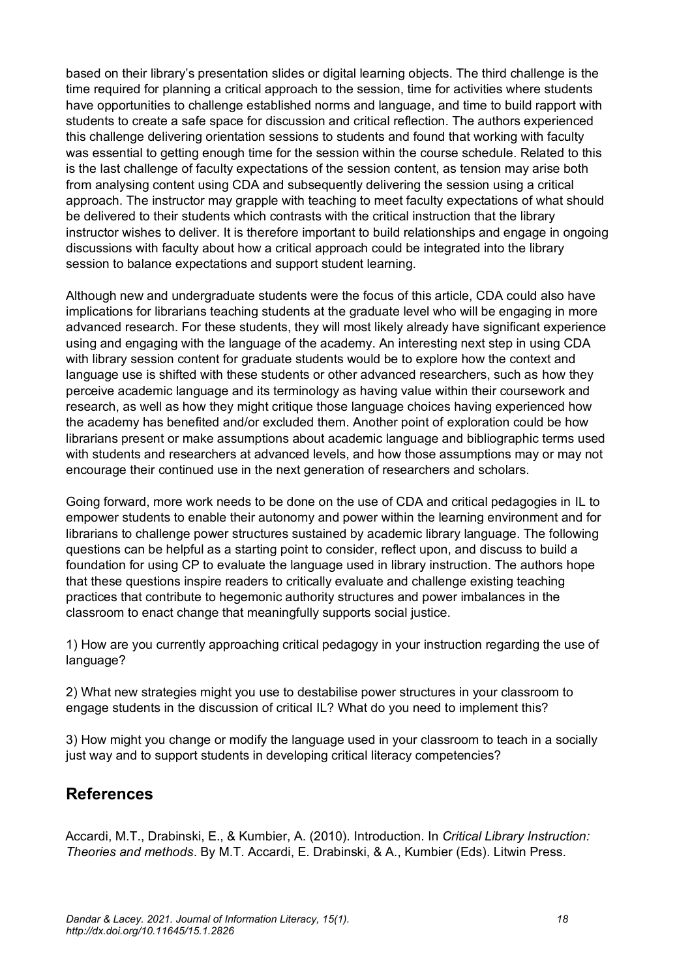based on their library's presentation slides or digital learning objects. The third challenge is the time required for planning a critical approach to the session, time for activities where students have opportunities to challenge established norms and language, and time to build rapport with students to create a safe space for discussion and critical reflection. The authors experienced this challenge delivering orientation sessions to students and found that working with faculty was essential to getting enough time for the session within the course schedule. Related to this is the last challenge of faculty expectations of the session content, as tension may arise both from analysing content using CDA and subsequently delivering the session using a critical approach. The instructor may grapple with teaching to meet faculty expectations of what should be delivered to their students which contrasts with the critical instruction that the library instructor wishes to deliver. It is therefore important to build relationships and engage in ongoing discussions with faculty about how a critical approach could be integrated into the library session to balance expectations and support student learning.

Although new and undergraduate students were the focus of this article, CDA could also have implications for librarians teaching students at the graduate level who will be engaging in more advanced research. For these students, they will most likely already have significant experience using and engaging with the language of the academy. An interesting next step in using CDA with library session content for graduate students would be to explore how the context and language use is shifted with these students or other advanced researchers, such as how they perceive academic language and its terminology as having value within their coursework and research, as well as how they might critique those language choices having experienced how the academy has benefited and/or excluded them. Another point of exploration could be how librarians present or make assumptions about academic language and bibliographic terms used with students and researchers at advanced levels, and how those assumptions may or may not encourage their continued use in the next generation of researchers and scholars.

Going forward, more work needs to be done on the use of CDA and critical pedagogies in IL to empower students to enable their autonomy and power within the learning environment and for librarians to challenge power structures sustained by academic library language. The following questions can be helpful as a starting point to consider, reflect upon, and discuss to build a foundation for using CP to evaluate the language used in library instruction. The authors hope that these questions inspire readers to critically evaluate and challenge existing teaching practices that contribute to hegemonic authority structures and power imbalances in the classroom to enact change that meaningfully supports social justice.

1) How are you currently approaching critical pedagogy in your instruction regarding the use of language?

2) What new strategies might you use to destabilise power structures in your classroom to engage students in the discussion of critical IL? What do you need to implement this?

3) How might you change or modify the language used in your classroom to teach in a socially just way and to support students in developing critical literacy competencies?

# **References**

Accardi, M.T., Drabinski, E., & Kumbier, A. (2010). Introduction. In *Critical Library Instruction: Theories and methods*. By M.T. Accardi, E. Drabinski, & A., Kumbier (Eds). Litwin Press.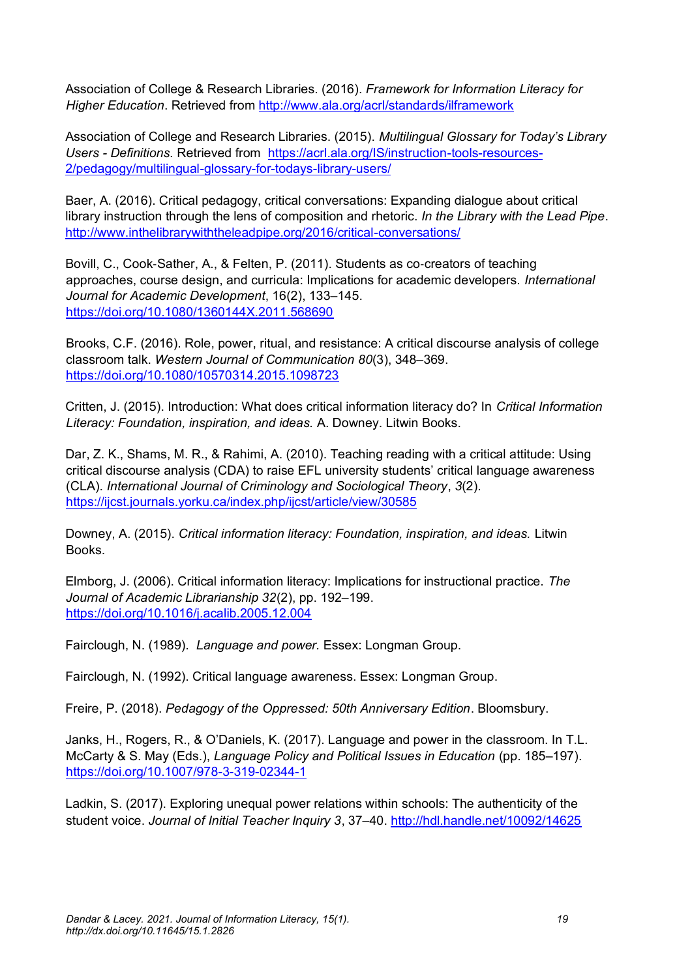Association of College & Research Libraries. (2016). *Framework for Information Literacy for Higher Education*. Retrieved fro[m](http://www.ala.org/acrl/standards/ilframework) <http://www.ala.org/acrl/standards/ilframework>

Association of College and Research Libraries. (2015). *Multilingual Glossary for Today's Library Users - Definitions.* Retrieved from [https://acrl.ala.org/IS/instruction-tools-resources-](https://acrl.ala.org/IS/instruction-tools-resources-2/pedagogy/multilingual-glossary-for-todays-library-users/)[2/pedagogy/multilingual-glossary-for-todays-library-users/](https://acrl.ala.org/IS/instruction-tools-resources-2/pedagogy/multilingual-glossary-for-todays-library-users/)

Baer, A. (2016). Critical pedagogy, critical conversations: Expanding dialogue about critical library instruction through the lens of composition and rhetoric. *In the Library with the Lead Pipe*[.](http://www.inthelibrarywiththeleadpipe.org/2016/critical-conversations/) <http://www.inthelibrarywiththeleadpipe.org/2016/critical-conversations/>

Bovill, C., Cook‐Sather, A., & Felten, P. (2011). Students as co‐creators of teaching approaches, course design, and curricula: Implications for academic developers. *International Journal for Academic Development*, 16(2), 133–145. <https://doi.org/10.1080/1360144X.2011.568690>

Brooks, C.F. (2016). Role, power, ritual, and resistance: A critical discourse analysis of college classroom talk. *Western Journal of Communication 80*(3), 348–369. <https://doi.org/10.1080/10570314.2015.1098723>

Critten, J. (2015). Introduction: What does critical information literacy do? In *Critical Information Literacy: Foundation, inspiration, and ideas.* A. Downey. Litwin Books.

Dar, Z. K., Shams, M. R., & Rahimi, A. (2010). Teaching reading with a critical attitude: Using critical discourse analysis (CDA) to raise EFL university students' critical language awareness (CLA). *International Journal of Criminology and Sociological Theory*, *3*(2)[.](/Users/harrietdavid/Downloads/%20) <https://ijcst.journals.yorku.ca/index.php/ijcst/article/view/30585>

Downey, A. (2015). *Critical information literacy: Foundation, inspiration, and ideas.* Litwin Books.

Elmborg, J. (2006). Critical information literacy: Implications for instructional practice. *The Journal of Academic Librarianship 32*(2), pp. 192–199. <https://doi.org/10.1016/j.acalib.2005.12.004>

Fairclough, N. (1989). *Language and power.* Essex: Longman Group.

Fairclough, N. (1992). Critical language awareness. Essex: Longman Group.

Freire, P. (2018). *Pedagogy of the Oppressed: 50th Anniversary Edition*. Bloomsbury.

Janks, H., Rogers, R., & O'Daniels, K. (2017). Language and power in the classroom. In T.L. McCarty & S. May (Eds.), *Language Policy and Political Issues in Education* (pp. 185–197)[.](https://doi.org/10.1007/978-3-319-02344-1) <https://doi.org/10.1007/978-3-319-02344-1>

Ladkin, S. (2017). Exploring unequal power relations within schools: The authenticity of the student voice. *Journal of Initial Teacher Inquiry 3*, 37–40. <http://hdl.handle.net/10092/14625>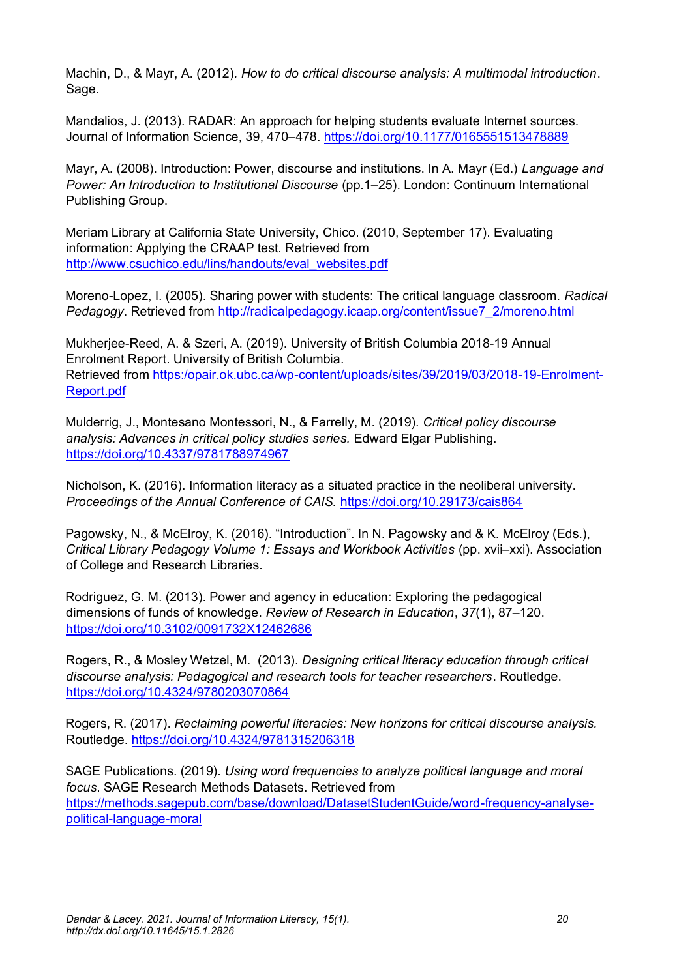Machin, D., & Mayr, A. (2012)*. How to do critical discourse analysis: A multimodal introduction*. Sage.

Mandalios, J. (2013). RADAR: An approach for helping students evaluate Internet sources. Journal of Information Science, 39, 470–478.<https://doi.org/10.1177/0165551513478889>

Mayr, A. (2008). Introduction: Power, discourse and institutions. In A. Mayr (Ed.) *Language and Power: An Introduction to Institutional Discourse (pp.1–25). London: Continuum International* Publishing Group.

Meriam Library at California State University, Chico. (2010, September 17). Evaluating information: Applying the CRAAP test. Retrieved fro[m](http://www.csuchico.edu/lins/handouts/eval_websites.pdf) [http://www.csuchico.edu/lins/handouts/eval\\_websites.pdf](http://www.csuchico.edu/lins/handouts/eval_websites.pdf)

Moreno-Lopez, I. (2005). Sharing power with students: The critical language classroom. *Radical Pedagogy*. Retrieved fro[m](http://radicalpedagogy.icaap.org/content/issue7_2/moreno.html) [http://radicalpedagogy.icaap.org/content/issue7\\_2/moreno.html](http://radicalpedagogy.icaap.org/content/issue7_2/moreno.html)

Mukherjee-Reed, A. & Szeri, A. (2019). University of British Columbia 2018-19 Annual Enrolment Report. University of British Columbia. Retrieved from [https:/opair.ok.ubc.ca/wp-content/uploads/sites/39/2019/03/2018-19-Enrolment-](https://opair.ok.ubc.ca/wp-content/uploads/sites/39/2019/03/2018-19-Enrolment-Report.pdf)[Report.pdf](https://opair.ok.ubc.ca/wp-content/uploads/sites/39/2019/03/2018-19-Enrolment-Report.pdf)

Mulderrig, J., Montesano Montessori, N., & Farrelly, M. (2019). *Critical policy discourse analysis: Advances in critical policy studies series.* Edward Elgar Publishing. <https://doi.org/10.4337/9781788974967>

Nicholson, K. (2016). Information literacy as a situated practice in the neoliberal university. *Proceedings of the Annual Conference of CAIS.* <https://doi.org/10.29173/cais864>

Pagowsky, N., & McElroy, K. (2016). "Introduction". In N. Pagowsky and & K. McElroy (Eds.), *Critical Library Pedagogy Volume 1: Essays and Workbook Activities* (pp. xvii–xxi). Association of College and Research Libraries.

Rodriguez, G. M. (2013). Power and agency in education: Exploring the pedagogical dimensions of funds of knowledge. *Review of Research in Education*, *37*(1), 87–120. <https://doi.org/10.3102/0091732X12462686>

Rogers, R., & Mosley Wetzel, M. (2013). *Designing critical literacy education through critical discourse analysis: Pedagogical and research tools for teacher researchers*. Routledge. <https://doi.org/10.4324/9780203070864>

Rogers, R. (2017). *Reclaiming powerful literacies: New horizons for critical discourse analysis.*  Routledge.<https://doi.org/10.4324/9781315206318>

SAGE Publications. (2019). *Using word frequencies to analyze political language and moral focus*. SAGE Research Methods Datasets. Retrieved from [https://methods.sagepub.com/base/download/DatasetStudentGuide/word-frequency-analyse](https://methods.sagepub.com/base/download/DatasetStudentGuide/word-frequency-analyse-political-language-moral)[political-language-moral](https://methods.sagepub.com/base/download/DatasetStudentGuide/word-frequency-analyse-political-language-moral)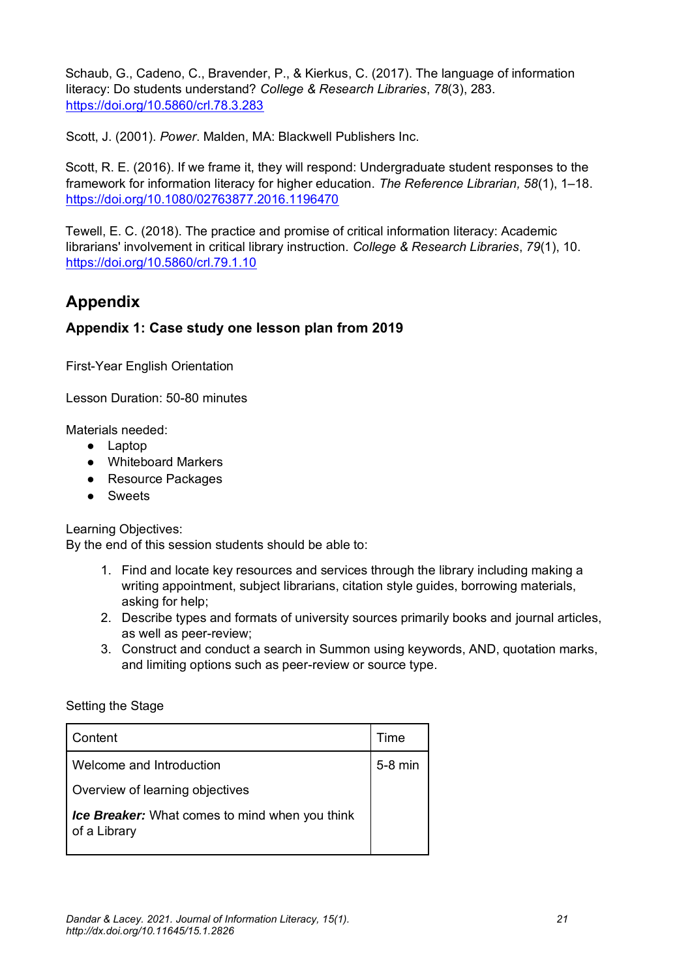Schaub, G., Cadeno, C., Bravender, P., & Kierkus, C. (2017). The language of information literacy: Do students understand? *College & Research Libraries*, *78*(3), 283. <https://doi.org/10.5860/crl.78.3.283>

Scott, J. (2001). *Power*. Malden, MA: Blackwell Publishers Inc.

Scott, R. E. (2016). If we frame it, they will respond: Undergraduate student responses to the framework for information literacy for higher education. *The Reference Librarian, 58*(1), 1–18. <https://doi.org/10.1080/02763877.2016.1196470>

Tewell, E. C. (2018). The practice and promise of critical information literacy: Academic librarians' involvement in critical library instruction. *College & Research Libraries*, *79*(1), 10. <https://doi.org/10.5860/crl.79.1.10>

## **Appendix**

### **Appendix 1: Case study one lesson plan from 2019**

First-Year English Orientation

Lesson Duration: 50-80 minutes

Materials needed:

- Laptop
- Whiteboard Markers
- Resource Packages
- Sweets

Learning Objectives:

By the end of this session students should be able to:

- 1. Find and locate key resources and services through the library including making a writing appointment, subject librarians, citation style guides, borrowing materials, asking for help;
- 2. Describe types and formats of university sources primarily books and journal articles, as well as peer-review;
- 3. Construct and conduct a search in Summon using keywords, AND, quotation marks, and limiting options such as peer-review or source type.

#### Setting the Stage

| Content                                                        | Time      |
|----------------------------------------------------------------|-----------|
| Welcome and Introduction                                       | $5-8$ min |
| Overview of learning objectives                                |           |
| Ice Breaker: What comes to mind when you think<br>of a Library |           |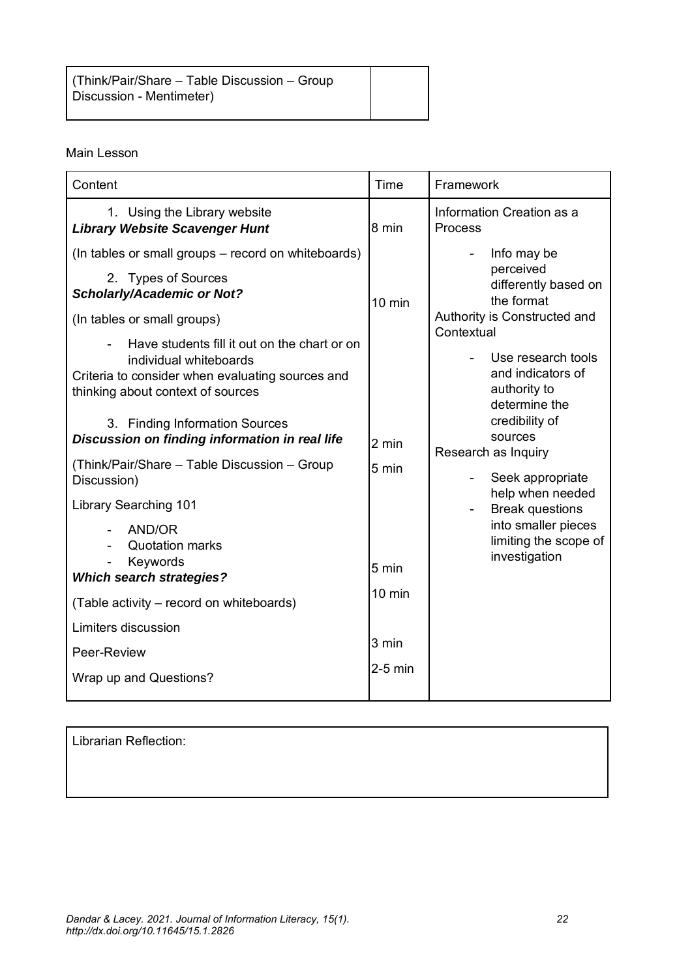(Think/Pair/Share – Table Discussion – Group Discussion - Mentimeter)

#### Main Lesson

| Content                                                                                                                                                                                                                                                                                                                                                                                               | Time                               | Framework                                                                                                                                                                                                             |
|-------------------------------------------------------------------------------------------------------------------------------------------------------------------------------------------------------------------------------------------------------------------------------------------------------------------------------------------------------------------------------------------------------|------------------------------------|-----------------------------------------------------------------------------------------------------------------------------------------------------------------------------------------------------------------------|
| 1. Using the Library website<br><b>Library Website Scavenger Hunt</b>                                                                                                                                                                                                                                                                                                                                 | 8 min                              | Information Creation as a<br><b>Process</b>                                                                                                                                                                           |
| (In tables or small groups – record on whiteboards)<br>2. Types of Sources<br><b>Scholarly/Academic or Not?</b><br>(In tables or small groups)<br>Have students fill it out on the chart or on<br>individual whiteboards<br>Criteria to consider when evaluating sources and<br>thinking about context of sources<br>3. Finding Information Sources<br>Discussion on finding information in real life | $10 \text{ min}$                   | Info may be<br>perceived<br>differently based on<br>the format<br>Authority is Constructed and<br>Contextual<br>Use research tools<br>and indicators of<br>authority to<br>determine the<br>credibility of<br>sources |
| (Think/Pair/Share – Table Discussion – Group<br>Discussion)                                                                                                                                                                                                                                                                                                                                           | 2 min<br>5 min                     | Research as Inquiry<br>Seek appropriate                                                                                                                                                                               |
| <b>Library Searching 101</b><br><b>AND/OR</b><br><b>Quotation marks</b><br>Keywords<br><b>Which search strategies?</b><br>(Table activity – record on whiteboards)<br>Limiters discussion                                                                                                                                                                                                             | 5 min<br>$10 \text{ min}$<br>3 min | help when needed<br><b>Break questions</b><br>into smaller pieces<br>limiting the scope of<br>investigation                                                                                                           |
| Peer-Review<br>Wrap up and Questions?                                                                                                                                                                                                                                                                                                                                                                 | $2-5$ min                          |                                                                                                                                                                                                                       |

Librarian Reflection: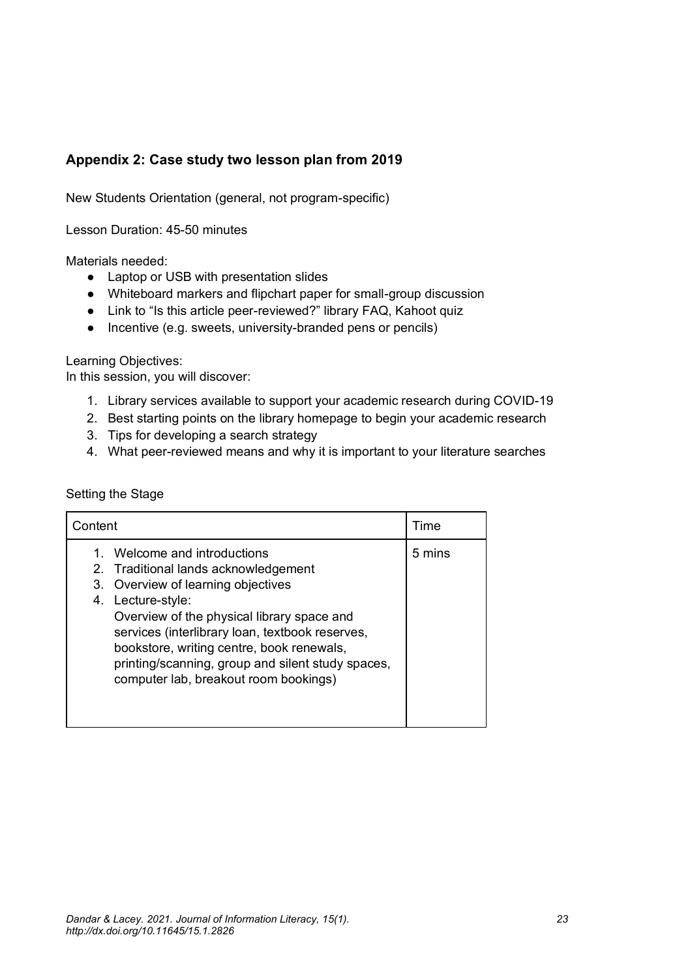### **Appendix 2: Case study two lesson plan from 2019**

New Students Orientation (general, not program-specific)

Lesson Duration: 45-50 minutes

Materials needed:

- Laptop or USB with presentation slides
- Whiteboard markers and flipchart paper for small-group discussion
- Link to "Is this article peer-reviewed?" library FAQ, Kahoot quiz
- Incentive (e.g. sweets, university-branded pens or pencils)

Learning Objectives:

In this session, you will discover:

- 1. Library services available to support your academic research during COVID-19
- 2. Best starting points on the library homepage to begin your academic research
- 3. Tips for developing a search strategy
- 4. What peer-reviewed means and why it is important to your literature searches

#### Setting the Stage

| Content                                                                                                                                                                                                                                                                                                                                                                        | Time   |
|--------------------------------------------------------------------------------------------------------------------------------------------------------------------------------------------------------------------------------------------------------------------------------------------------------------------------------------------------------------------------------|--------|
| Welcome and introductions<br>1.<br>2. Traditional lands acknowledgement<br>3. Overview of learning objectives<br>4. Lecture-style:<br>Overview of the physical library space and<br>services (interlibrary loan, textbook reserves,<br>bookstore, writing centre, book renewals,<br>printing/scanning, group and silent study spaces,<br>computer lab, breakout room bookings) | 5 mins |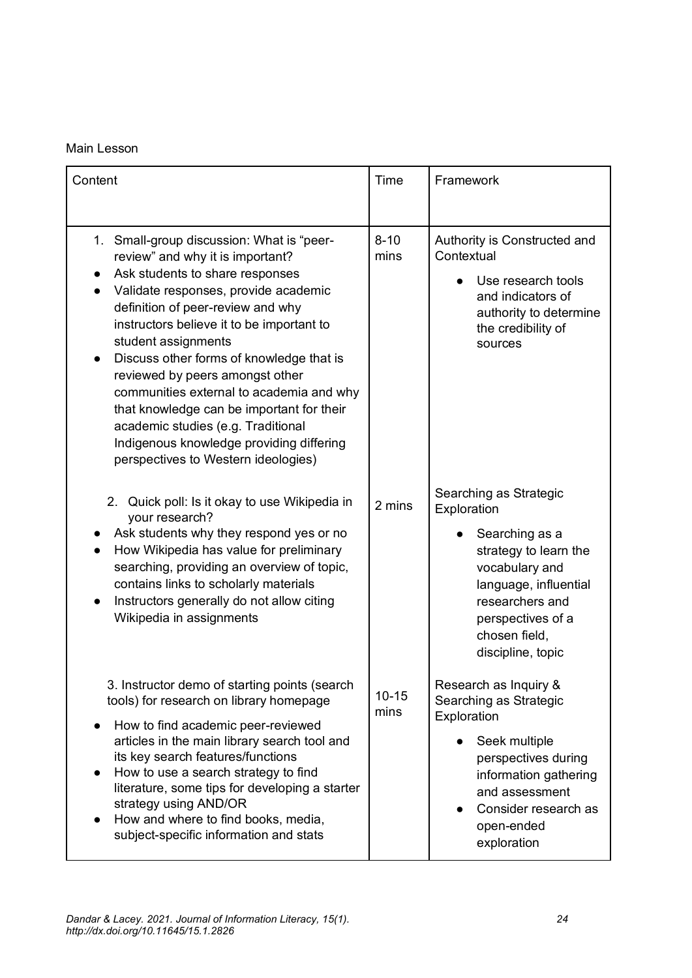#### Main Lesson

| Content                                                                                                                                                                                                                                                                                                                                                                                                                                                                                                                                                                         | Time              | Framework                                                                                                                                                                                                 |
|---------------------------------------------------------------------------------------------------------------------------------------------------------------------------------------------------------------------------------------------------------------------------------------------------------------------------------------------------------------------------------------------------------------------------------------------------------------------------------------------------------------------------------------------------------------------------------|-------------------|-----------------------------------------------------------------------------------------------------------------------------------------------------------------------------------------------------------|
| 1. Small-group discussion: What is "peer-<br>review" and why it is important?<br>Ask students to share responses<br>Validate responses, provide academic<br>$\bullet$<br>definition of peer-review and why<br>instructors believe it to be important to<br>student assignments<br>Discuss other forms of knowledge that is<br>reviewed by peers amongst other<br>communities external to academia and why<br>that knowledge can be important for their<br>academic studies (e.g. Traditional<br>Indigenous knowledge providing differing<br>perspectives to Western ideologies) | $8 - 10$<br>mins  | Authority is Constructed and<br>Contextual<br>Use research tools<br>and indicators of<br>authority to determine<br>the credibility of<br>sources                                                          |
| 2. Quick poll: Is it okay to use Wikipedia in<br>your research?<br>Ask students why they respond yes or no<br>How Wikipedia has value for preliminary<br>searching, providing an overview of topic,<br>contains links to scholarly materials<br>Instructors generally do not allow citing<br>Wikipedia in assignments                                                                                                                                                                                                                                                           | 2 mins            | Searching as Strategic<br>Exploration<br>Searching as a<br>strategy to learn the<br>vocabulary and<br>language, influential<br>researchers and<br>perspectives of a<br>chosen field,<br>discipline, topic |
| 3. Instructor demo of starting points (search<br>tools) for research on library homepage<br>How to find academic peer-reviewed<br>articles in the main library search tool and<br>its key search features/functions<br>How to use a search strategy to find<br>literature, some tips for developing a starter<br>strategy using AND/OR<br>How and where to find books, media,<br>subject-specific information and stats                                                                                                                                                         | $10 - 15$<br>mins | Research as Inquiry &<br>Searching as Strategic<br>Exploration<br>Seek multiple<br>perspectives during<br>information gathering<br>and assessment<br>Consider research as<br>open-ended<br>exploration    |